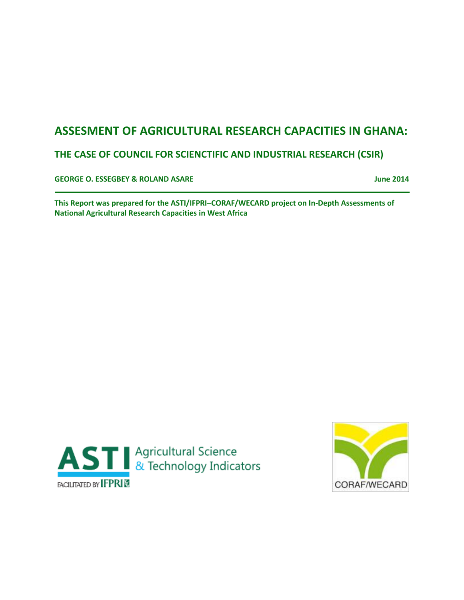# **ASSESMENT OF AGRICULTURAL RESEARCH CAPACITIES IN GHANA:**

## **THE CASE OF COUNCIL FOR SCIENCTIFIC AND INDUSTRIAL RESEARCH (CSIR)**

**GEORGE O. ESSEGBEY & ROLAND ASARE June 2014**

**This Report was prepared for the ASTI/IFPRI–CORAF/WECARD project on In-Depth Assessments of National Agricultural Research Capacities in West Africa**



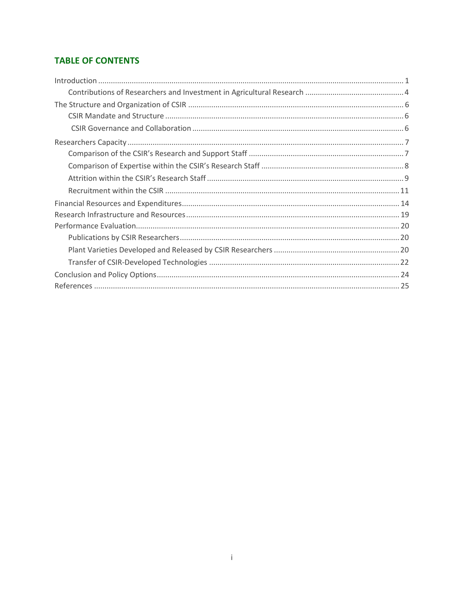## **TABLE OF CONTENTS**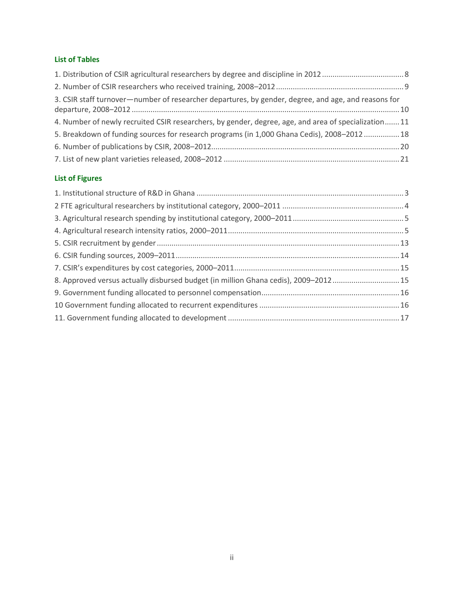## **List of Tables**

| 3. CSIR staff turnover-number of researcher departures, by gender, degree, and age, and reasons for |  |
|-----------------------------------------------------------------------------------------------------|--|
| 4. Number of newly recruited CSIR researchers, by gender, degree, age, and area of specialization11 |  |
| 5. Breakdown of funding sources for research programs (in 1,000 Ghana Cedis), 2008-2012 18          |  |
|                                                                                                     |  |
|                                                                                                     |  |

## **List of Figures**

| 8. Approved versus actually disbursed budget (in million Ghana cedis), 2009-2012 15 |  |
|-------------------------------------------------------------------------------------|--|
|                                                                                     |  |
|                                                                                     |  |
|                                                                                     |  |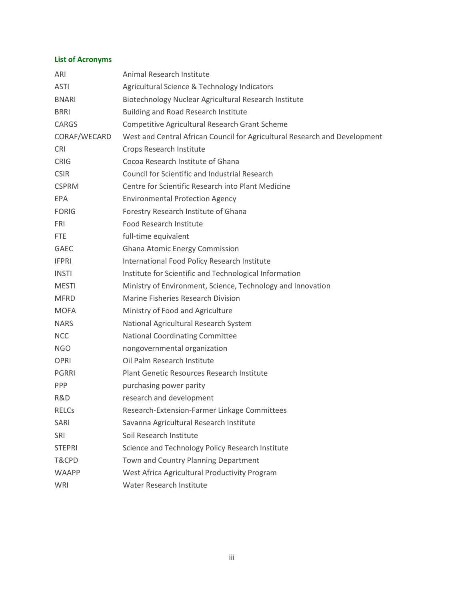## **List of Acronyms**

| ARI           | Animal Research Institute                                                  |
|---------------|----------------------------------------------------------------------------|
| <b>ASTI</b>   | Agricultural Science & Technology Indicators                               |
| <b>BNARI</b>  | Biotechnology Nuclear Agricultural Research Institute                      |
| <b>BRRI</b>   | Building and Road Research Institute                                       |
| <b>CARGS</b>  | Competitive Agricultural Research Grant Scheme                             |
| CORAF/WECARD  | West and Central African Council for Agricultural Research and Development |
| <b>CRI</b>    | Crops Research Institute                                                   |
| <b>CRIG</b>   | Cocoa Research Institute of Ghana                                          |
| <b>CSIR</b>   | <b>Council for Scientific and Industrial Research</b>                      |
| <b>CSPRM</b>  | Centre for Scientific Research into Plant Medicine                         |
| EPA           | <b>Environmental Protection Agency</b>                                     |
| <b>FORIG</b>  | Forestry Research Institute of Ghana                                       |
| <b>FRI</b>    | Food Research Institute                                                    |
| FTE           | full-time equivalent                                                       |
| <b>GAEC</b>   | Ghana Atomic Energy Commission                                             |
| <b>IFPRI</b>  | International Food Policy Research Institute                               |
| <b>INSTI</b>  | Institute for Scientific and Technological Information                     |
| <b>MESTI</b>  | Ministry of Environment, Science, Technology and Innovation                |
| <b>MFRD</b>   | Marine Fisheries Research Division                                         |
| <b>MOFA</b>   | Ministry of Food and Agriculture                                           |
| <b>NARS</b>   | National Agricultural Research System                                      |
| <b>NCC</b>    | National Coordinating Committee                                            |
| NGO           | nongovernmental organization                                               |
| <b>OPRI</b>   | Oil Palm Research Institute                                                |
| PGRRI         | Plant Genetic Resources Research Institute                                 |
| <b>PPP</b>    | purchasing power parity                                                    |
| R&D           | research and development                                                   |
| RELCs         | Research-Extension-Farmer Linkage Committees                               |
| <b>SARI</b>   | Savanna Agricultural Research Institute                                    |
| SRI           | Soil Research Institute                                                    |
| <b>STEPRI</b> | Science and Technology Policy Research Institute                           |
| T&CPD         | Town and Country Planning Department                                       |
| <b>WAAPP</b>  | West Africa Agricultural Productivity Program                              |
| WRI           | Water Research Institute                                                   |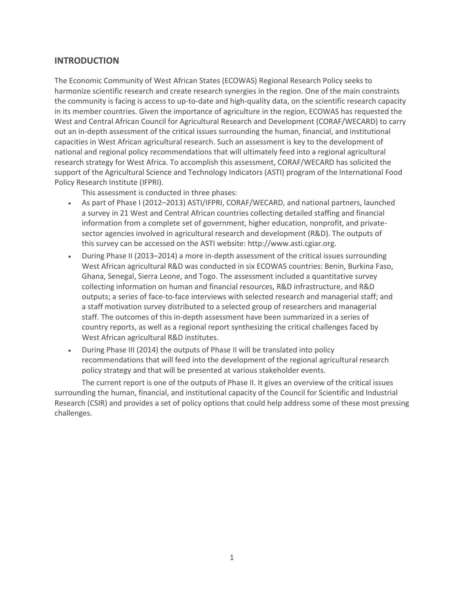## <span id="page-4-0"></span>**INTRODUCTION**

The Economic Community of West African States (ECOWAS) Regional Research Policy seeks to harmonize scientific research and create research synergies in the region. One of the main constraints the community is facing is access to up-to-date and high-quality data, on the scientific research capacity in its member countries. Given the importance of agriculture in the region, ECOWAS has requested the West and Central African Council for Agricultural Research and Development (CORAF/WECARD) to carry out an in-depth assessment of the critical issues surrounding the human, financial, and institutional capacities in West African agricultural research. Such an assessment is key to the development of national and regional policy recommendations that will ultimately feed into a regional agricultural research strategy for West Africa. To accomplish this assessment, CORAF/WECARD has solicited the support of the Agricultural Science and Technology Indicators (ASTI) program of the International Food Policy Research Institute (IFPRI).

This assessment is conducted in three phases:

- As part of Phase I (2012–2013) ASTI/IFPRI, CORAF/WECARD, and national partners, launched a survey in 21 West and Central African countries collecting detailed staffing and financial information from a complete set of government, higher education, nonprofit, and privatesector agencies involved in agricultural research and development (R&D). The outputs of this survey can be accessed on the ASTI website: http://www.asti.cgiar.org.
- During Phase II (2013–2014) a more in-depth assessment of the critical issues surrounding West African agricultural R&D was conducted in six ECOWAS countries: Benin, Burkina Faso, Ghana, Senegal, Sierra Leone, and Togo. The assessment included a quantitative survey collecting information on human and financial resources, R&D infrastructure, and R&D outputs; a series of face-to-face interviews with selected research and managerial staff; and a staff motivation survey distributed to a selected group of researchers and managerial staff. The outcomes of this in-depth assessment have been summarized in a series of country reports, as well as a regional report synthesizing the critical challenges faced by West African agricultural R&D institutes.
- During Phase III (2014) the outputs of Phase II will be translated into policy recommendations that will feed into the development of the regional agricultural research policy strategy and that will be presented at various stakeholder events.

The current report is one of the outputs of Phase II. It gives an overview of the critical issues surrounding the human, financial, and institutional capacity of the Council for Scientific and Industrial Research (CSIR) and provides a set of policy options that could help address some of these most pressing challenges.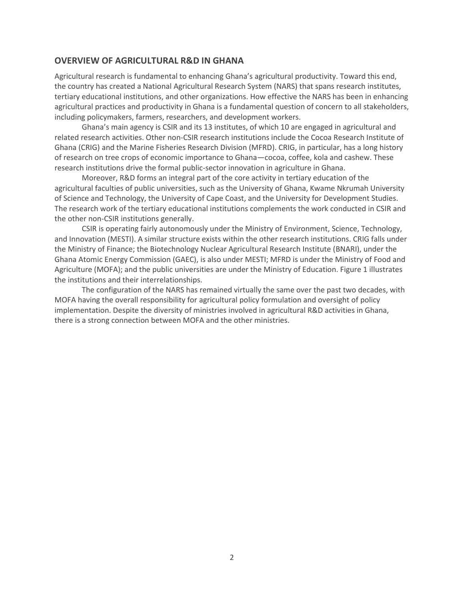## **OVERVIEW OF AGRICULTURAL R&D IN GHANA**

Agricultural research is fundamental to enhancing Ghana's agricultural productivity. Toward this end, the country has created a National Agricultural Research System (NARS) that spans research institutes, tertiary educational institutions, and other organizations. How effective the NARS has been in enhancing agricultural practices and productivity in Ghana is a fundamental question of concern to all stakeholders, including policymakers, farmers, researchers, and development workers.

Ghana's main agency is CSIR and its 13 institutes, of which 10 are engaged in agricultural and related research activities. Other non-CSIR research institutions include the Cocoa Research Institute of Ghana (CRIG) and the Marine Fisheries Research Division (MFRD). CRIG, in particular, has a long history of research on tree crops of economic importance to Ghana—cocoa, coffee, kola and cashew. These research institutions drive the formal public-sector innovation in agriculture in Ghana.

Moreover, R&D forms an integral part of the core activity in tertiary education of the agricultural faculties of public universities, such as the University of Ghana, Kwame Nkrumah University of Science and Technology, the University of Cape Coast, and the University for Development Studies. The research work of the tertiary educational institutions complements the work conducted in CSIR and the other non-CSIR institutions generally.

CSIR is operating fairly autonomously under the Ministry of Environment, Science, Technology, and Innovation (MESTI). A similar structure exists within the other research institutions. CRIG falls under the Ministry of Finance; the Biotechnology Nuclear Agricultural Research Institute (BNARI), under the Ghana Atomic Energy Commission (GAEC), is also under MESTI; MFRD is under the Ministry of Food and Agriculture (MOFA); and the public universities are under the Ministry of Education. Figure 1 illustrates the institutions and their interrelationships.

The configuration of the NARS has remained virtually the same over the past two decades, with MOFA having the overall responsibility for agricultural policy formulation and oversight of policy implementation. Despite the diversity of ministries involved in agricultural R&D activities in Ghana, there is a strong connection between MOFA and the other ministries.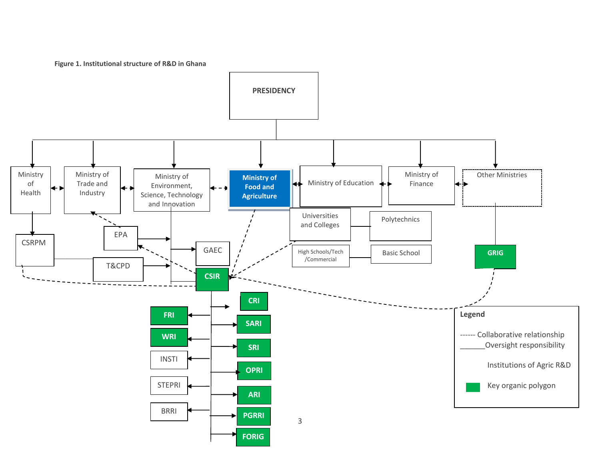**Figure 1. Institutional structure of R&D in Ghana**

<span id="page-6-0"></span>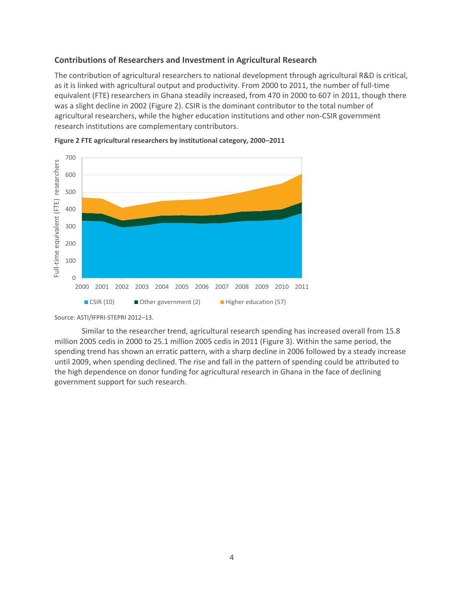## <span id="page-7-0"></span>**Contributions of Researchers and Investment in Agricultural Research**

The contribution of agricultural researchers to national development through agricultural R&D is critical, as it is linked with agricultural output and productivity. From 2000 to 2011, the number of full-time equivalent (FTE) researchers in Ghana steadily increased, from 470 in 2000 to 607 in 2011, though there was a slight decline in 2002 (Figure 2). CSIR is the dominant contributor to the total number of agricultural researchers, while the higher education institutions and other non-CSIR government research institutions are complementary contributors.



<span id="page-7-1"></span>

<span id="page-7-2"></span>Similar to the researcher trend, agricultural research spending has increased overall from 15.8 million 2005 cedis in 2000 to 25.1 million 2005 cedis in 2011 (Figure 3). Within the same period, the spending trend has shown an erratic pattern, with a sharp decline in 2006 followed by a steady increase until 2009, when spending declined. The rise and fall in the pattern of spending could be attributed to the high dependence on donor funding for agricultural research in Ghana in the face of declining government support for such research.

Source: ASTI/IFPRI-STEPRI 2012–13.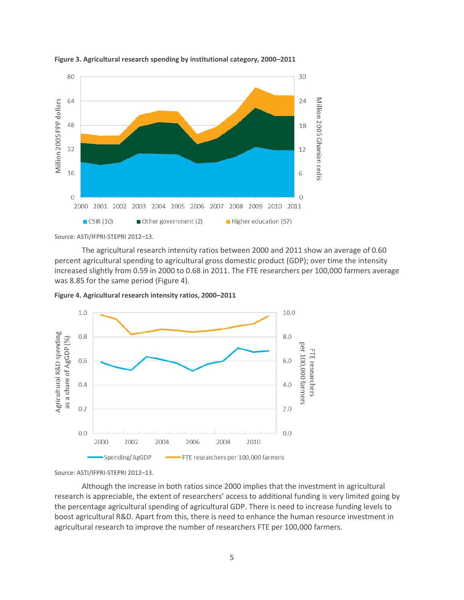

**Figure 3. Agricultural research spending by institutional category, 2000–2011**

Source: ASTI/IFPRI-STEPRI 2012–13.

The agricultural research intensity ratios between 2000 and 2011 show an average of 0.60 percent agricultural spending to agricultural gross domestic product (GDP); over time the intensity increased slightly from 0.59 in 2000 to 0.68 in 2011. The FTE researchers per 100,000 farmers average was 8.85 for the same period (Figure 4).

<span id="page-8-1"></span>



Source: ASTI/IFPRI-STEPRI 2012–13.

<span id="page-8-0"></span>Although the increase in both ratios since 2000 implies that the investment in agricultural research is appreciable, the extent of researchers' access to additional funding is very limited going by the percentage agricultural spending of agricultural GDP. There is need to increase funding levels to boost agricultural R&D. Apart from this, there is need to enhance the human resource investment in agricultural research to improve the number of researchers FTE per 100,000 farmers.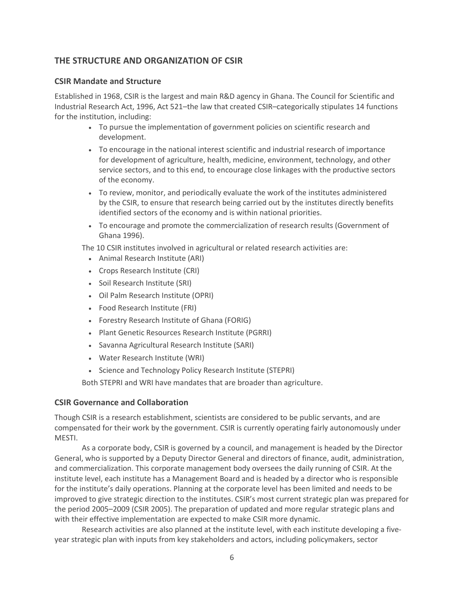## **THE STRUCTURE AND ORGANIZATION OF CSIR**

## <span id="page-9-0"></span>**CSIR Mandate and Structure**

Established in 1968, CSIR is the largest and main R&D agency in Ghana. The Council for Scientific and Industrial Research Act, 1996, Act 521–the law that created CSIR–categorically stipulates 14 functions for the institution, including:

- To pursue the implementation of government policies on scientific research and development.
- To encourage in the national interest scientific and industrial research of importance for development of agriculture, health, medicine, environment, technology, and other service sectors, and to this end, to encourage close linkages with the productive sectors of the economy.
- To review, monitor, and periodically evaluate the work of the institutes administered by the CSIR, to ensure that research being carried out by the institutes directly benefits identified sectors of the economy and is within national priorities.
- To encourage and promote the commercialization of research results (Government of Ghana 1996).

The 10 CSIR institutes involved in agricultural or related research activities are:

- Animal Research Institute (ARI)
- Crops Research Institute (CRI)
- Soil Research Institute (SRI)
- Oil Palm Research Institute (OPRI)
- Food Research Institute (FRI)
- Forestry Research Institute of Ghana (FORIG)
- Plant Genetic Resources Research Institute (PGRRI)
- Savanna Agricultural Research Institute (SARI)
- Water Research Institute (WRI)
- Science and Technology Policy Research Institute (STEPRI)

Both STEPRI and WRI have mandates that are broader than agriculture.

### <span id="page-9-1"></span>**CSIR Governance and Collaboration**

Though CSIR is a research establishment, scientists are considered to be public servants, and are compensated for their work by the government. CSIR is currently operating fairly autonomously under MESTI.

As a corporate body, CSIR is governed by a council, and management is headed by the Director General, who is supported by a Deputy Director General and directors of finance, audit, administration, and commercialization. This corporate management body oversees the daily running of CSIR. At the institute level, each institute has a Management Board and is headed by a director who is responsible for the institute's daily operations. Planning at the corporate level has been limited and needs to be improved to give strategic direction to the institutes. CSIR's most current strategic plan was prepared for the period 2005–2009 (CSIR 2005). The preparation of updated and more regular strategic plans and with their effective implementation are expected to make CSIR more dynamic.

Research activities are also planned at the institute level, with each institute developing a fiveyear strategic plan with inputs from key stakeholders and actors, including policymakers, sector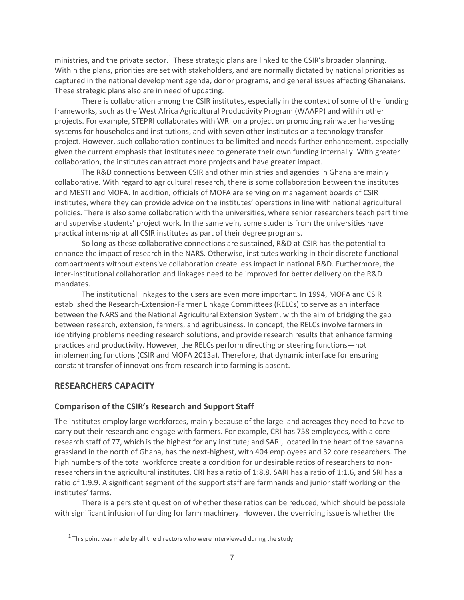ministries, and the private sector.<sup>1</sup> These strategic plans are linked to the CSIR's broader planning. Within the plans, priorities are set with stakeholders, and are normally dictated by national priorities as captured in the national development agenda, donor programs, and general issues affecting Ghanaians. These strategic plans also are in need of updating.

There is collaboration among the CSIR institutes, especially in the context of some of the funding frameworks, such as the West Africa Agricultural Productivity Program (WAAPP) and within other projects. For example, STEPRI collaborates with WRI on a project on promoting rainwater harvesting systems for households and institutions, and with seven other institutes on a technology transfer project. However, such collaboration continues to be limited and needs further enhancement, especially given the current emphasis that institutes need to generate their own funding internally. With greater collaboration, the institutes can attract more projects and have greater impact.

The R&D connections between CSIR and other ministries and agencies in Ghana are mainly collaborative. With regard to agricultural research, there is some collaboration between the institutes and MESTI and MOFA. In addition, officials of MOFA are serving on management boards of CSIR institutes, where they can provide advice on the institutes' operations in line with national agricultural policies. There is also some collaboration with the universities, where senior researchers teach part time and supervise students' project work. In the same vein, some students from the universities have practical internship at all CSIR institutes as part of their degree programs.

So long as these collaborative connections are sustained, R&D at CSIR has the potential to enhance the impact of research in the NARS. Otherwise, institutes working in their discrete functional compartments without extensive collaboration create less impact in national R&D. Furthermore, the inter-institutional collaboration and linkages need to be improved for better delivery on the R&D mandates.

The institutional linkages to the users are even more important. In 1994, MOFA and CSIR established the Research-Extension-Farmer Linkage Committees (RELCs) to serve as an interface between the NARS and the National Agricultural Extension System, with the aim of bridging the gap between research, extension, farmers, and agribusiness. In concept, the RELCs involve farmers in identifying problems needing research solutions, and provide research results that enhance farming practices and productivity. However, the RELCs perform directing or steering functions—not implementing functions (CSIR and MOFA 2013a). Therefore, that dynamic interface for ensuring constant transfer of innovations from research into farming is absent.

## <span id="page-10-0"></span>**RESEARCHERS CAPACITY**

 $\overline{a}$ 

### <span id="page-10-1"></span>**Comparison of the CSIR's Research and Support Staff**

The institutes employ large workforces, mainly because of the large land acreages they need to have to carry out their research and engage with farmers. For example, CRI has 758 employees, with a core research staff of 77, which is the highest for any institute; and SARI, located in the heart of the savanna grassland in the north of Ghana, has the next-highest, with 404 employees and 32 core researchers. The high numbers of the total workforce create a condition for undesirable ratios of researchers to nonresearchers in the agricultural institutes. CRI has a ratio of 1:8.8. SARI has a ratio of 1:1.6, and SRI has a ratio of 1:9.9. A significant segment of the support staff are farmhands and junior staff working on the institutes' farms.

There is a persistent question of whether these ratios can be reduced, which should be possible with significant infusion of funding for farm machinery. However, the overriding issue is whether the

 $^1$  This point was made by all the directors who were interviewed during the study.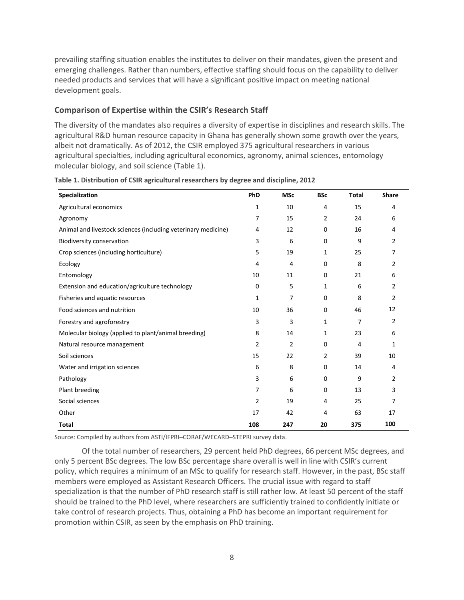prevailing staffing situation enables the institutes to deliver on their mandates, given the present and emerging challenges. Rather than numbers, effective staffing should focus on the capability to deliver needed products and services that will have a significant positive impact on meeting national development goals.

## <span id="page-11-0"></span>**Comparison of Expertise within the CSIR's Research Staff**

The diversity of the mandates also requires a diversity of expertise in disciplines and research skills. The agricultural R&D human resource capacity in Ghana has generally shown some growth over the years, albeit not dramatically. As of 2012, the CSIR employed 375 agricultural researchers in various agricultural specialties, including agricultural economics, agronomy, animal sciences, entomology molecular biology, and soil science (Table 1).

| Specialization                                                | PhD            | <b>MSc</b>     | <b>BSc</b> | <b>Total</b>   | <b>Share</b>   |
|---------------------------------------------------------------|----------------|----------------|------------|----------------|----------------|
| Agricultural economics                                        | 1              | 10             | 4          | 15             | 4              |
| Agronomy                                                      | 7              | 15             | 2          | 24             | 6              |
| Animal and livestock sciences (including veterinary medicine) | 4              | 12             | 0          | 16             | 4              |
| Biodiversity conservation                                     | 3              | 6              | 0          | 9              | $\overline{2}$ |
| Crop sciences (including horticulture)                        | 5              | 19             | 1          | 25             | 7              |
| Ecology                                                       | 4              | 4              | 0          | 8              | $\overline{2}$ |
| Entomology                                                    | 10             | 11             | 0          | 21             | 6              |
| Extension and education/agriculture technology                | 0              | 5              | 1          | 6              | 2              |
| Fisheries and aquatic resources                               | 1              | 7              | 0          | 8              | 2              |
| Food sciences and nutrition                                   | 10             | 36             | 0          | 46             | 12             |
| Forestry and agroforestry                                     | 3              | 3              | 1          | $\overline{7}$ | 2              |
| Molecular biology (applied to plant/animal breeding)          | 8              | 14             | 1          | 23             | 6              |
| Natural resource management                                   | $\overline{2}$ | $\overline{2}$ | 0          | 4              | 1              |
| Soil sciences                                                 | 15             | 22             | 2          | 39             | 10             |
| Water and irrigation sciences                                 | 6              | 8              | 0          | 14             | 4              |
| Pathology                                                     | 3              | 6              | 0          | 9              | $\overline{2}$ |
| Plant breeding                                                | 7              | 6              | 0          | 13             | 3              |
| Social sciences                                               | $\overline{2}$ | 19             | 4          | 25             | 7              |
| Other                                                         | 17             | 42             | 4          | 63             | 17             |
| <b>Total</b>                                                  | 108            | 247            | 20         | 375            | 100            |

<span id="page-11-1"></span>**Table 1. Distribution of CSIR agricultural researchers by degree and discipline, 2012**

Source: Compiled by authors from ASTI/IFPRI–CORAF/WECARD–STEPRI survey data.

Of the total number of researchers, 29 percent held PhD degrees, 66 percent MSc degrees, and only 5 percent BSc degrees. The low BSc percentage share overall is well in line with CSIR's current policy, which requires a minimum of an MSc to qualify for research staff. However, in the past, BSc staff members were employed as Assistant Research Officers. The crucial issue with regard to staff specialization is that the number of PhD research staff is still rather low. At least 50 percent of the staff should be trained to the PhD level, where researchers are sufficiently trained to confidently initiate or take control of research projects. Thus, obtaining a PhD has become an important requirement for promotion within CSIR, as seen by the emphasis on PhD training.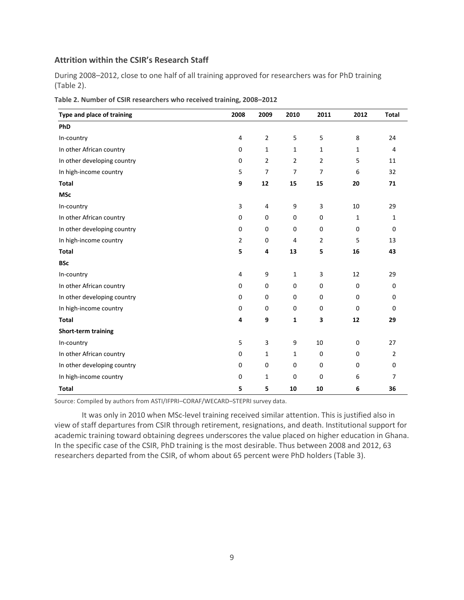## <span id="page-12-0"></span>**Attrition within the CSIR's Research Staff**

During 2008–2012, close to one half of all training approved for researchers was for PhD training (Table 2).

| Type and place of training  | 2008           | 2009           | 2010           | 2011           | 2012         | <b>Total</b>   |
|-----------------------------|----------------|----------------|----------------|----------------|--------------|----------------|
| PhD                         |                |                |                |                |              |                |
| In-country                  | 4              | $\overline{2}$ | 5              | 5              | 8            | 24             |
| In other African country    | $\mathbf 0$    | $\mathbf{1}$   | 1              | 1              | 1            | 4              |
| In other developing country | $\mathbf 0$    | $\overline{2}$ | $\overline{2}$ | $\overline{2}$ | 5            | 11             |
| In high-income country      | 5              | $\overline{7}$ | $\overline{7}$ | $\overline{7}$ | 6            | 32             |
| <b>Total</b>                | 9              | 12             | 15             | 15             | 20           | 71             |
| <b>MSc</b>                  |                |                |                |                |              |                |
| In-country                  | 3              | 4              | 9              | 3              | 10           | 29             |
| In other African country    | 0              | 0              | 0              | $\mathbf 0$    | $\mathbf{1}$ | $\mathbf{1}$   |
| In other developing country | 0              | 0              | 0              | $\mathbf 0$    | $\mathbf 0$  | $\mathbf 0$    |
| In high-income country      | $\overline{2}$ | 0              | 4              | $\overline{2}$ | 5            | 13             |
| <b>Total</b>                | 5              | 4              | 13             | 5              | 16           | 43             |
| <b>BSc</b>                  |                |                |                |                |              |                |
| In-country                  | $\overline{4}$ | 9              | 1              | 3              | 12           | 29             |
| In other African country    | 0              | 0              | 0              | $\pmb{0}$      | 0            | 0              |
| In other developing country | 0              | 0              | 0              | $\mathbf 0$    | 0            | 0              |
| In high-income country      | $\mathbf 0$    | 0              | 0              | 0              | 0            | $\mathbf 0$    |
| <b>Total</b>                | 4              | 9              | 1              | 3              | 12           | 29             |
| <b>Short-term training</b>  |                |                |                |                |              |                |
| In-country                  | 5              | 3              | 9              | 10             | 0            | 27             |
| In other African country    | $\mathbf 0$    | $\mathbf{1}$   | 1              | $\pmb{0}$      | 0            | $\overline{2}$ |
| In other developing country | $\mathbf 0$    | 0              | $\mathbf 0$    | $\mathbf 0$    | $\mathbf 0$  | $\mathbf 0$    |
| In high-income country      | 0              | 1              | 0              | 0              | 6            | 7              |
| Total                       | 5              | 5              | 10             | 10             | 6            | 36             |

<span id="page-12-1"></span>

| Table 2. Number of CSIR researchers who received training, 2008-2012 |  |  |  |  |  |  |  |
|----------------------------------------------------------------------|--|--|--|--|--|--|--|
|----------------------------------------------------------------------|--|--|--|--|--|--|--|

Source: Compiled by authors from ASTI/IFPRI–CORAF/WECARD–STEPRI survey data.

<span id="page-12-2"></span>It was only in 2010 when MSc-level training received similar attention. This is justified also in view of staff departures from CSIR through retirement, resignations, and death. Institutional support for academic training toward obtaining degrees underscores the value placed on higher education in Ghana. In the specific case of the CSIR, PhD training is the most desirable. Thus between 2008 and 2012, 63 researchers departed from the CSIR, of whom about 65 percent were PhD holders (Table 3).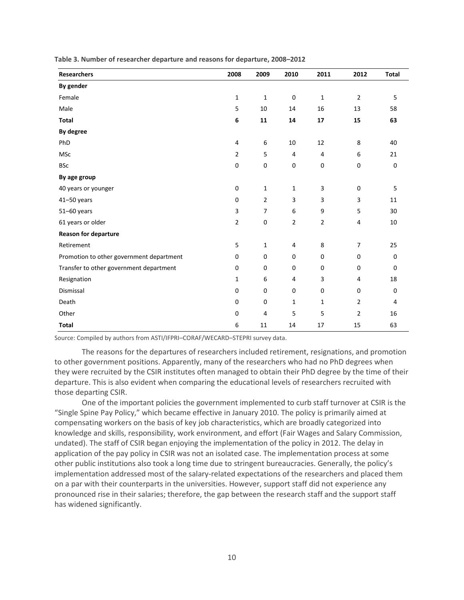| <b>Researchers</b>                       | 2008           | 2009           | 2010                    | 2011             | 2012             | <b>Total</b> |
|------------------------------------------|----------------|----------------|-------------------------|------------------|------------------|--------------|
| By gender                                |                |                |                         |                  |                  |              |
| Female                                   | $\mathbf{1}$   | $\mathbf 1$    | $\pmb{0}$               | $\mathbf{1}$     | $\overline{2}$   | 5            |
| Male                                     | 5              | 10             | 14                      | 16               | 13               | 58           |
| <b>Total</b>                             | $\bf 6$        | ${\bf 11}$     | 14                      | 17               | 15               | 63           |
| By degree                                |                |                |                         |                  |                  |              |
| PhD                                      | 4              | 6              | 10                      | 12               | 8                | 40           |
| <b>MSc</b>                               | $\overline{2}$ | 5              | $\overline{4}$          | 4                | 6                | 21           |
| <b>BSc</b>                               | $\pmb{0}$      | $\pmb{0}$      | $\boldsymbol{0}$        | $\boldsymbol{0}$ | $\boldsymbol{0}$ | $\pmb{0}$    |
| By age group                             |                |                |                         |                  |                  |              |
| 40 years or younger                      | $\pmb{0}$      | $\mathbf{1}$   | $\mathbf{1}$            | 3                | $\boldsymbol{0}$ | 5            |
| 41-50 years                              | $\pmb{0}$      | $\mathbf 2$    | $\mathsf 3$             | 3                | 3                | 11           |
| 51-60 years                              | 3              | $\overline{7}$ | $\boldsymbol{6}$        | 9                | 5                | 30           |
| 61 years or older                        | $\mathbf 2$    | $\pmb{0}$      | $\overline{2}$          | $\mathbf{2}$     | 4                | 10           |
| <b>Reason for departure</b>              |                |                |                         |                  |                  |              |
| Retirement                               | 5              | $1\,$          | $\overline{\mathbf{4}}$ | 8                | $\overline{7}$   | 25           |
| Promotion to other government department | $\mathbf 0$    | 0              | $\mathbf 0$             | $\mathbf 0$      | $\mathbf 0$      | 0            |
| Transfer to other government department  | $\mathbf 0$    | $\mathbf 0$    | $\mathbf 0$             | $\mathbf 0$      | $\mathbf 0$      | $\mathbf 0$  |
| Resignation                              | $\mathbf{1}$   | 6              | 4                       | 3                | 4                | 18           |
| Dismissal                                | $\pmb{0}$      | $\pmb{0}$      | $\mathbf 0$             | $\mathbf 0$      | $\mathbf 0$      | 0            |
| Death                                    | $\pmb{0}$      | 0              | $\mathbf{1}$            | $\mathbf{1}$     | $\overline{2}$   | 4            |
| Other                                    | $\mathbf 0$    | $\overline{4}$ | 5                       | 5                | $\overline{2}$   | 16           |
| <b>Total</b>                             | 6              | 11             | 14                      | 17               | 15               | 63           |

**Table 3. Number of researcher departure and reasons for departure, 2008–2012**

Source: Compiled by authors from ASTI/IFPRI–CORAF/WECARD–STEPRI survey data.

The reasons for the departures of researchers included retirement, resignations, and promotion to other government positions. Apparently, many of the researchers who had no PhD degrees when they were recruited by the CSIR institutes often managed to obtain their PhD degree by the time of their departure. This is also evident when comparing the educational levels of researchers recruited with those departing CSIR.

One of the important policies the government implemented to curb staff turnover at CSIR is the "Single Spine Pay Policy," which became effective in January 2010. The policy is primarily aimed at compensating workers on the basis of key job characteristics, which are broadly categorized into knowledge and skills, responsibility, work environment, and effort (Fair Wages and Salary Commission, undated). The staff of CSIR began enjoying the implementation of the policy in 2012. The delay in application of the pay policy in CSIR was not an isolated case. The implementation process at some other public institutions also took a long time due to stringent bureaucracies. Generally, the policy's implementation addressed most of the salary-related expectations of the researchers and placed them on a par with their counterparts in the universities. However, support staff did not experience any pronounced rise in their salaries; therefore, the gap between the research staff and the support staff has widened significantly.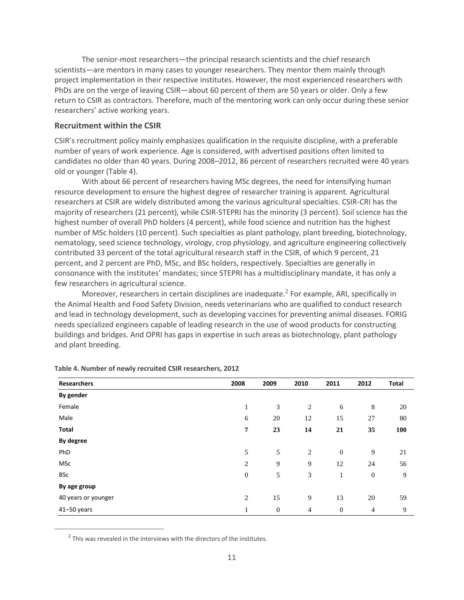The senior-most researchers—the principal research scientists and the chief research scientists—are mentors in many cases to younger researchers. They mentor them mainly through project implementation in their respective institutes. However, the most experienced researchers with PhDs are on the verge of leaving CSIR—about 60 percent of them are 50 years or older. Only a few return to CSIR as contractors. Therefore, much of the mentoring work can only occur during these senior researchers' active working years.

### <span id="page-14-0"></span>**Recruitment within the CSIR**

CSIR's recruitment policy mainly emphasizes qualification in the requisite discipline, with a preferable number of years of work experience. Age is considered, with advertised positions often limited to candidates no older than 40 years. During 2008–2012, 86 percent of researchers recruited were 40 years old or younger (Table 4).

<span id="page-14-1"></span>With about 66 percent of researchers having MSc degrees, the need for intensifying human resource development to ensure the highest degree of researcher training is apparent. Agricultural researchers at CSIR are widely distributed among the various agricultural specialties. CSIR-CRI has the majority of researchers (21 percent), while CSIR-STEPRI has the minority (3 percent). Soil science has the highest number of overall PhD holders (4 percent), while food science and nutrition has the highest number of MSc holders (10 percent). Such specialties as plant pathology, plant breeding, biotechnology, nematology, seed science technology, virology, crop physiology, and agriculture engineering collectively contributed 33 percent of the total agricultural research staff in the CSIR, of which 9 percent, 21 percent, and 2 percent are PhD, MSc, and BSc holders, respectively. Specialties are generally in consonance with the institutes' mandates; since STEPRI has a multidisciplinary mandate, it has only a few researchers in agricultural science.

Moreover, researchers in certain disciplines are inadequate. $^2$  For example, ARI, specifically in the Animal Health and Food Safety Division, needs veterinarians who are qualified to conduct research and lead in technology development, such as developing vaccines for preventing animal diseases. FORIG needs specialized engineers capable of leading research in the use of wood products for constructing buildings and bridges. And OPRI has gaps in expertise in such areas as biotechnology, plant pathology and plant breeding.

| <b>Researchers</b>  | 2008             | 2009         | 2010           | 2011         | 2012           | Total |
|---------------------|------------------|--------------|----------------|--------------|----------------|-------|
| By gender           |                  |              |                |              |                |       |
| Female              | 1                | 3            | 2              | 6            | $\,8\,$        | 20    |
| Male                | 6                | 20           | 12             | 15           | 27             | 80    |
| <b>Total</b>        | 7                | 23           | 14             | 21           | 35             | 100   |
| By degree           |                  |              |                |              |                |       |
| PhD                 | 5                | 5            | 2              | $\mathbf{0}$ | 9              | 21    |
| MSc                 | $\overline{c}$   | 9            | 9              | 12           | 24             | 56    |
| <b>BSc</b>          | $\boldsymbol{0}$ | 5            | 3              | 1            | $\mathbf{0}$   | 9     |
| By age group        |                  |              |                |              |                |       |
| 40 years or younger | $\overline{c}$   | 15           | 9              | 13           | 20             | 59    |
| 41-50 years         | 1                | $\mathbf{0}$ | $\overline{4}$ | $\mathbf{0}$ | $\overline{4}$ | 9     |

**Table 4. Number of newly recruited CSIR researchers, 2012**

 $2$  This was revealed in the interviews with the directors of the institutes.

 $\overline{a}$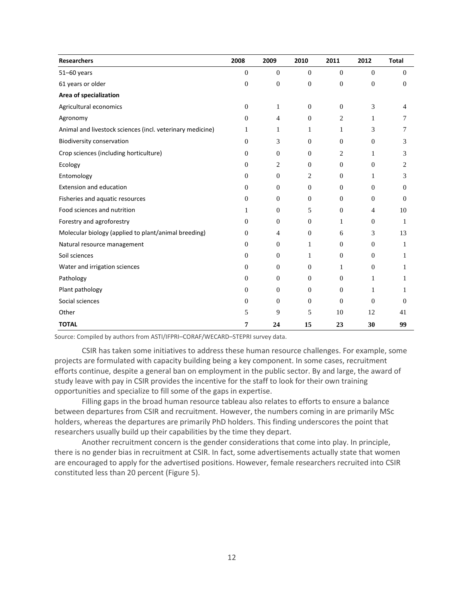| <b>Researchers</b>                                        | 2008           | 2009             | 2010             | 2011             | 2012             | Total    |
|-----------------------------------------------------------|----------------|------------------|------------------|------------------|------------------|----------|
| $51 - 60$ years                                           | $\overline{0}$ | $\boldsymbol{0}$ | $\mathbf{0}$     | $\mathbf{0}$     | $\boldsymbol{0}$ | $\Omega$ |
| 61 years or older                                         | $\overline{0}$ | $\boldsymbol{0}$ | $\mathbf{0}$     | $\boldsymbol{0}$ | $\boldsymbol{0}$ | $\theta$ |
| Area of specialization                                    |                |                  |                  |                  |                  |          |
| Agricultural economics                                    | $\mathbf{0}$   | $\mathbf{1}$     | $\mathbf{0}$     | $\mathbf{0}$     | 3                | 4        |
| Agronomy                                                  | $\mathbf{0}$   | $\overline{4}$   | $\overline{0}$   | 2                | 1                | 7        |
| Animal and livestock sciences (incl. veterinary medicine) | 1              | 1                | 1                | 1                | 3                | 7        |
| <b>Biodiversity conservation</b>                          | $\Omega$       | 3                | $\overline{0}$   | $\mathbf{0}$     | $\boldsymbol{0}$ | 3        |
| Crop sciences (including horticulture)                    | $\mathbf{0}$   | $\mathbf{0}$     | $\overline{0}$   | 2                | 1                | 3        |
| Ecology                                                   | $\Omega$       | $\overline{c}$   | $\overline{0}$   | $\mathbf{0}$     | $\mathbf{0}$     | 2        |
| Entomology                                                | $\Omega$       | $\mathbf{0}$     | 2                | $\Omega$         | 1                | 3        |
| <b>Extension and education</b>                            | $\Omega$       | $\mathbf{0}$     | $\overline{0}$   | $\Omega$         | $\mathbf{0}$     | 0        |
| Fisheries and aquatic resources                           | $\Omega$       | $\mathbf{0}$     | $\Omega$         | $\Omega$         | $\mathbf{0}$     | 0        |
| Food sciences and nutrition                               | 1              | $\boldsymbol{0}$ | 5                | $\mathbf{0}$     | $\overline{4}$   | 10       |
| Forestry and agroforestry                                 | $\Omega$       | $\mathbf{0}$     | $\overline{0}$   | 1                | $\boldsymbol{0}$ | 1        |
| Molecular biology (applied to plant/animal breeding)      | $\mathbf{0}$   | 4                | $\boldsymbol{0}$ | 6                | 3                | 13       |
| Natural resource management                               | $\mathbf{0}$   | $\boldsymbol{0}$ | 1                | $\mathbf{0}$     | $\mathbf{0}$     | 1        |
| Soil sciences                                             | $\mathbf{0}$   | $\boldsymbol{0}$ | 1                | $\boldsymbol{0}$ | $\boldsymbol{0}$ | 1        |
| Water and irrigation sciences                             | $\mathbf{0}$   | $\boldsymbol{0}$ | $\overline{0}$   | 1                | $\mathbf{0}$     | 1        |
| Pathology                                                 | $\mathbf{0}$   | $\theta$         | $\overline{0}$   | $\mathbf{0}$     | $\mathbf{1}$     | 1        |
| Plant pathology                                           | $\mathbf{0}$   | $\mathbf{0}$     | $\overline{0}$   | $\mathbf{0}$     | $\mathbf{1}$     |          |
| Social sciences                                           | $\mathbf{0}$   | $\mathbf{0}$     | $\overline{0}$   | $\theta$         | $\mathbf{0}$     | 0        |
| Other                                                     | 5              | 9                | 5                | 10               | 12               | 41       |
| <b>TOTAL</b>                                              | 7              | 24               | 15               | 23               | 30               | 99       |

Source: Compiled by authors from ASTI/IFPRI–CORAF/WECARD–STEPRI survey data.

CSIR has taken some initiatives to address these human resource challenges. For example, some projects are formulated with capacity building being a key component. In some cases, recruitment efforts continue, despite a general ban on employment in the public sector. By and large, the award of study leave with pay in CSIR provides the incentive for the staff to look for their own training opportunities and specialize to fill some of the gaps in expertise.

Filling gaps in the broad human resource tableau also relates to efforts to ensure a balance between departures from CSIR and recruitment. However, the numbers coming in are primarily MSc holders, whereas the departures are primarily PhD holders. This finding underscores the point that researchers usually build up their capabilities by the time they depart.

<span id="page-15-0"></span>Another recruitment concern is the gender considerations that come into play. In principle, there is no gender bias in recruitment at CSIR. In fact, some advertisements actually state that women are encouraged to apply for the advertised positions. However, female researchers recruited into CSIR constituted less than 20 percent (Figure 5).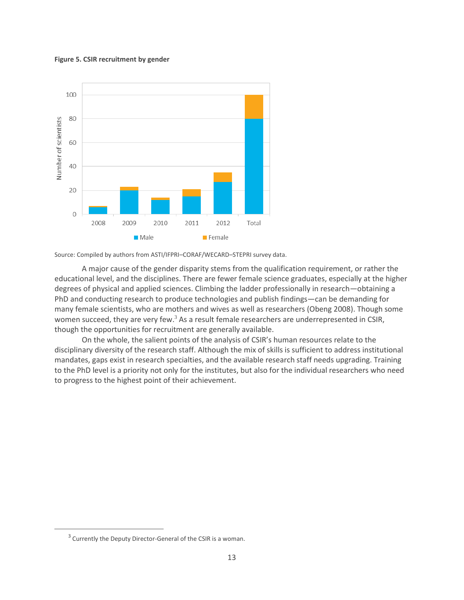#### **Figure 5. CSIR recruitment by gender**



Source: Compiled by authors from ASTI/IFPRI–CORAF/WECARD–STEPRI survey data.

A major cause of the gender disparity stems from the qualification requirement, or rather the educational level, and the disciplines. There are fewer female science graduates, especially at the higher degrees of physical and applied sciences. Climbing the ladder professionally in research—obtaining a PhD and conducting research to produce technologies and publish findings—can be demanding for many female scientists, who are mothers and wives as well as researchers (Obeng 2008). Though some women succeed, they are very few. $3$  As a result female researchers are underrepresented in CSIR, though the opportunities for recruitment are generally available.

<span id="page-16-0"></span>On the whole, the salient points of the analysis of CSIR's human resources relate to the disciplinary diversity of the research staff. Although the mix of skills is sufficient to address institutional mandates, gaps exist in research specialties, and the available research staff needs upgrading. Training to the PhD level is a priority not only for the institutes, but also for the individual researchers who need to progress to the highest point of their achievement.

 $\overline{a}$ 

 $3$  Currently the Deputy Director-General of the CSIR is a woman.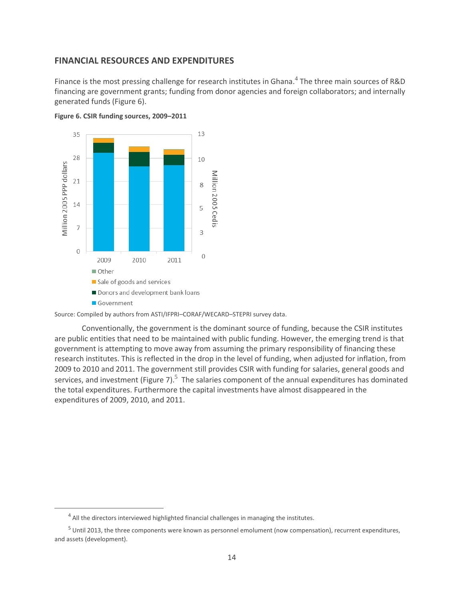### **FINANCIAL RESOURCES AND EXPENDITURES**

Finance is the most pressing challenge for research institutes in Ghana.<sup>4</sup> The three main sources of R&D financing are government grants; funding from donor agencies and foreign collaborators; and internally generated funds (Figure 6).



<span id="page-17-0"></span>

Source: Compiled by authors from ASTI/IFPRI–CORAF/WECARD–STEPRI survey data.

<span id="page-17-1"></span>Conventionally, the government is the dominant source of funding, because the CSIR institutes are public entities that need to be maintained with public funding. However, the emerging trend is that government is attempting to move away from assuming the primary responsibility of financing these research institutes. This is reflected in the drop in the level of funding, when adjusted for inflation, from 2009 to 2010 and 2011. The government still provides CSIR with funding for salaries, general goods and services, and investment (Figure 7).<sup>5</sup> The salaries component of the annual expenditures has dominated the total expenditures. Furthermore the capital investments have almost disappeared in the expenditures of 2009, 2010, and 2011.

 $\overline{a}$ 

<sup>&</sup>lt;sup>4</sup> All the directors interviewed highlighted financial challenges in managing the institutes.

<sup>5</sup> Until 2013, the three components were known as personnel emolument (now compensation), recurrent expenditures, and assets (development).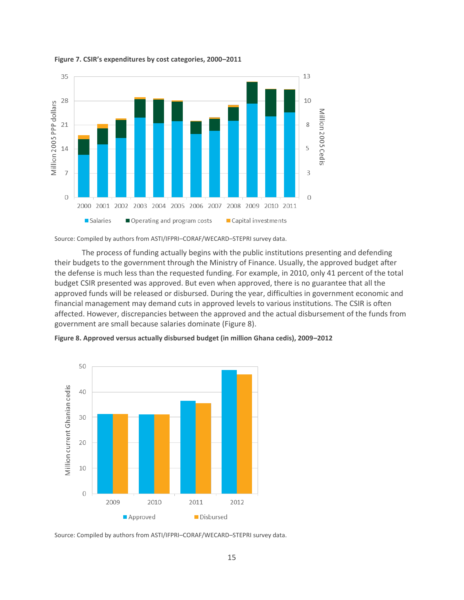

#### **Figure 7. CSIR's expenditures by cost categories, 2000–2011**

Source: Compiled by authors from ASTI/IFPRI–CORAF/WECARD–STEPRI survey data.

The process of funding actually begins with the public institutions presenting and defending their budgets to the government through the Ministry of Finance. Usually, the approved budget after the defense is much less than the requested funding. For example, in 2010, only 41 percent of the total budget CSIR presented was approved. But even when approved, there is no guarantee that all the approved funds will be released or disbursed. During the year, difficulties in government economic and financial management may demand cuts in approved levels to various institutions. The CSIR is often affected. However, discrepancies between the approved and the actual disbursement of the funds from government are small because salaries dominate (Figure 8).



<span id="page-18-0"></span>**Figure 8. Approved versus actually disbursed budget (in million Ghana cedis), 2009–2012**

Source: Compiled by authors from ASTI/IFPRI–CORAF/WECARD–STEPRI survey data.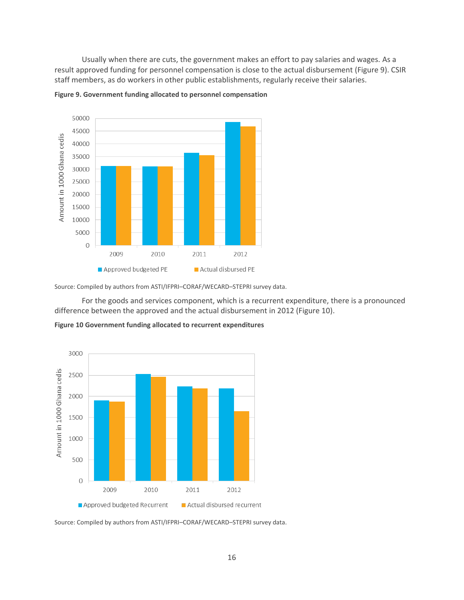Usually when there are cuts, the government makes an effort to pay salaries and wages. As a result approved funding for personnel compensation is close to the actual disbursement (Figure 9). CSIR staff members, as do workers in other public establishments, regularly receive their salaries.



<span id="page-19-0"></span>

Source: Compiled by authors from ASTI/IFPRI–CORAF/WECARD–STEPRI survey data.

For the goods and services component, which is a recurrent expenditure, there is a pronounced difference between the approved and the actual disbursement in 2012 (Figure 10).

<span id="page-19-1"></span>



Source: Compiled by authors from ASTI/IFPRI–CORAF/WECARD–STEPRI survey data.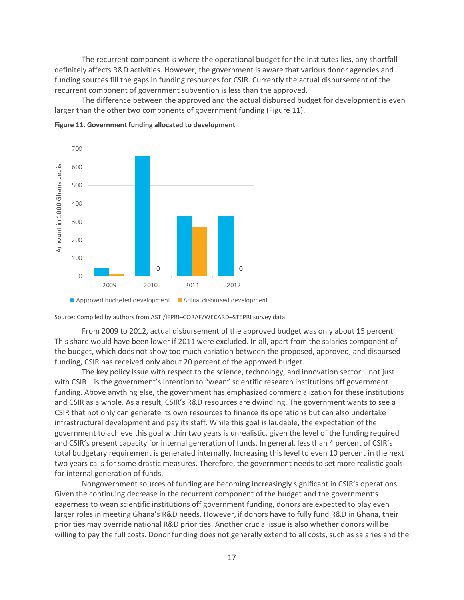The recurrent component is where the operational budget for the institutes lies, any shortfall definitely affects R&D activities. However, the government is aware that various donor agencies and funding sources fill the gaps in funding resources for CSIR. Currently the actual disbursement of the recurrent component of government subvention is less than the approved.

The difference between the approved and the actual disbursed budget for development is even larger than the other two components of government funding (Figure 11).



<span id="page-20-0"></span>

Source: Compiled by authors from ASTI/IFPRI–CORAF/WECARD–STEPRI survey data.

From 2009 to 2012, actual disbursement of the approved budget was only about 15 percent. This share would have been lower if 2011 were excluded. In all, apart from the salaries component of the budget, which does not show too much variation between the proposed, approved, and disbursed funding, CSIR has received only about 20 percent of the approved budget.

The key policy issue with respect to the science, technology, and innovation sector—not just with CSIR—is the government's intention to "wean" scientific research institutions off government funding. Above anything else, the government has emphasized commercialization for these institutions and CSIR as a whole. As a result, CSIR's R&D resources are dwindling. The government wants to see a CSIR that not only can generate its own resources to finance its operations but can also undertake infrastructural development and pay its staff. While this goal is laudable, the expectation of the government to achieve this goal within two years is unrealistic, given the level of the funding required and CSIR's present capacity for internal generation of funds. In general, less than 4 percent of CSIR's total budgetary requirement is generated internally. Increasing this level to even 10 percent in the next two years calls for some drastic measures. Therefore, the government needs to set more realistic goals for internal generation of funds.

Nongovernment sources of funding are becoming increasingly significant in CSIR's operations. Given the continuing decrease in the recurrent component of the budget and the government's eagerness to wean scientific institutions off government funding, donors are expected to play even larger roles in meeting Ghana's R&D needs. However, if donors have to fully fund R&D in Ghana, their priorities may override national R&D priorities. Another crucial issue is also whether donors will be willing to pay the full costs. Donor funding does not generally extend to all costs, such as salaries and the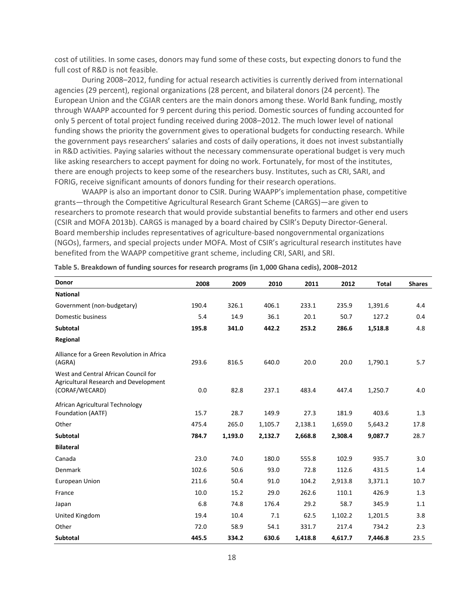cost of utilities. In some cases, donors may fund some of these costs, but expecting donors to fund the full cost of R&D is not feasible.

During 2008–2012, funding for actual research activities is currently derived from international agencies (29 percent), regional organizations (28 percent, and bilateral donors (24 percent). The European Union and the CGIAR centers are the main donors among these. World Bank funding, mostly through WAAPP accounted for 9 percent during this period. Domestic sources of funding accounted for only 5 percent of total project funding received during 2008–2012. The much lower level of national funding shows the priority the government gives to operational budgets for conducting research. While the government pays researchers' salaries and costs of daily operations, it does not invest substantially in R&D activities. Paying salaries without the necessary commensurate operational budget is very much like asking researchers to accept payment for doing no work. Fortunately, for most of the institutes, there are enough projects to keep some of the researchers busy. Institutes, such as CRI, SARI, and FORIG, receive significant amounts of donors funding for their research operations.

WAAPP is also an important donor to CSIR. During WAAPP's implementation phase, competitive grants—through the Competitive Agricultural Research Grant Scheme (CARGS)—are given to researchers to promote research that would provide substantial benefits to farmers and other end users (CSIR and MOFA 2013b). CARGS is managed by a board chaired by CSIR's Deputy Director-General. Board membership includes representatives of agriculture-based nongovernmental organizations (NGOs), farmers, and special projects under MOFA. Most of CSIR's agricultural research institutes have benefited from the WAAPP competitive grant scheme, including CRI, SARI, and SRI.

| Donor                                                                                           | 2008  | 2009    | 2010    | 2011    | 2012    | <b>Total</b> | <b>Shares</b> |
|-------------------------------------------------------------------------------------------------|-------|---------|---------|---------|---------|--------------|---------------|
| <b>National</b>                                                                                 |       |         |         |         |         |              |               |
| Government (non-budgetary)                                                                      | 190.4 | 326.1   | 406.1   | 233.1   | 235.9   | 1,391.6      | 4.4           |
| Domestic business                                                                               | 5.4   | 14.9    | 36.1    | 20.1    | 50.7    | 127.2        | 0.4           |
| <b>Subtotal</b>                                                                                 | 195.8 | 341.0   | 442.2   | 253.2   | 286.6   | 1,518.8      | 4.8           |
| Regional                                                                                        |       |         |         |         |         |              |               |
| Alliance for a Green Revolution in Africa<br>(AGRA)                                             | 293.6 | 816.5   | 640.0   | 20.0    | 20.0    | 1,790.1      | 5.7           |
| West and Central African Council for<br>Agricultural Research and Development<br>(CORAF/WECARD) | 0.0   | 82.8    | 237.1   | 483.4   | 447.4   | 1,250.7      | 4.0           |
| African Agricultural Technology<br>Foundation (AATF)                                            | 15.7  | 28.7    | 149.9   | 27.3    | 181.9   | 403.6        | 1.3           |
| Other                                                                                           | 475.4 | 265.0   | 1,105.7 | 2,138.1 | 1,659.0 | 5,643.2      | 17.8          |
| Subtotal                                                                                        | 784.7 | 1,193.0 | 2,132.7 | 2,668.8 | 2,308.4 | 9,087.7      | 28.7          |
| <b>Bilateral</b>                                                                                |       |         |         |         |         |              |               |
| Canada                                                                                          | 23.0  | 74.0    | 180.0   | 555.8   | 102.9   | 935.7        | 3.0           |
| Denmark                                                                                         | 102.6 | 50.6    | 93.0    | 72.8    | 112.6   | 431.5        | 1.4           |
| <b>European Union</b>                                                                           | 211.6 | 50.4    | 91.0    | 104.2   | 2,913.8 | 3,371.1      | 10.7          |
| France                                                                                          | 10.0  | 15.2    | 29.0    | 262.6   | 110.1   | 426.9        | 1.3           |
| Japan                                                                                           | 6.8   | 74.8    | 176.4   | 29.2    | 58.7    | 345.9        | 1.1           |
| United Kingdom                                                                                  | 19.4  | 10.4    | 7.1     | 62.5    | 1,102.2 | 1,201.5      | 3.8           |
| Other                                                                                           | 72.0  | 58.9    | 54.1    | 331.7   | 217.4   | 734.2        | 2.3           |
| Subtotal                                                                                        | 445.5 | 334.2   | 630.6   | 1,418.8 | 4,617.7 | 7,446.8      | 23.5          |

<span id="page-21-0"></span>**Table 5. Breakdown of funding sources for research programs (in 1,000 Ghana cedis), 2008–2012**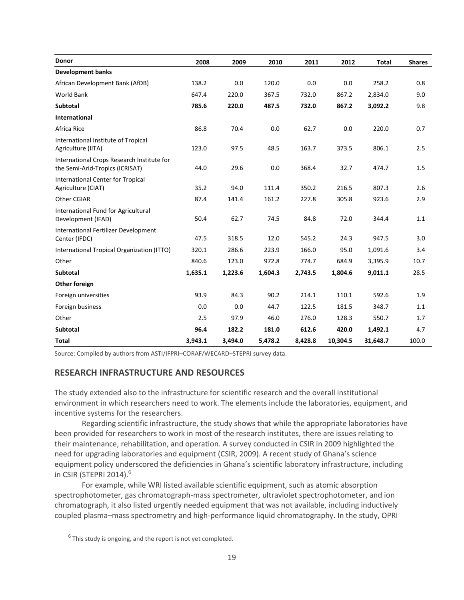| Donor                                                                         | 2008    | 2009    | 2010    | 2011    | 2012     | <b>Total</b> | <b>Shares</b> |
|-------------------------------------------------------------------------------|---------|---------|---------|---------|----------|--------------|---------------|
| <b>Development banks</b>                                                      |         |         |         |         |          |              |               |
| African Development Bank (AfDB)                                               | 138.2   | 0.0     | 120.0   | 0.0     | 0.0      | 258.2        | 0.8           |
| <b>World Bank</b>                                                             | 647.4   | 220.0   | 367.5   | 732.0   | 867.2    | 2,834.0      | 9.0           |
| <b>Subtotal</b>                                                               | 785.6   | 220.0   | 487.5   | 732.0   | 867.2    | 3,092.2      | 9.8           |
| <b>International</b>                                                          |         |         |         |         |          |              |               |
| Africa Rice                                                                   | 86.8    | 70.4    | 0.0     | 62.7    | 0.0      | 220.0        | 0.7           |
| International Institute of Tropical<br>Agriculture (IITA)                     | 123.0   | 97.5    | 48.5    | 163.7   | 373.5    | 806.1        | 2.5           |
| International Crops Research Institute for<br>the Semi-Arid-Tropics (ICRISAT) | 44.0    | 29.6    | 0.0     | 368.4   | 32.7     | 474.7        | 1.5           |
| International Center for Tropical<br>Agriculture (CIAT)                       | 35.2    | 94.0    | 111.4   | 350.2   | 216.5    | 807.3        | 2.6           |
| Other CGIAR                                                                   | 87.4    | 141.4   | 161.2   | 227.8   | 305.8    | 923.6        | 2.9           |
| International Fund for Agricultural<br>Development (IFAD)                     | 50.4    | 62.7    | 74.5    | 84.8    | 72.0     | 344.4        | 1.1           |
| International Fertilizer Development<br>Center (IFDC)                         | 47.5    | 318.5   | 12.0    | 545.2   | 24.3     | 947.5        | 3.0           |
| International Tropical Organization (ITTO)                                    | 320.1   | 286.6   | 223.9   | 166.0   | 95.0     | 1,091.6      | 3.4           |
| Other                                                                         | 840.6   | 123.0   | 972.8   | 774.7   | 684.9    | 3,395.9      | 10.7          |
| <b>Subtotal</b>                                                               | 1,635.1 | 1,223.6 | 1,604.3 | 2,743.5 | 1,804.6  | 9,011.1      | 28.5          |
| Other foreign                                                                 |         |         |         |         |          |              |               |
| Foreign universities                                                          | 93.9    | 84.3    | 90.2    | 214.1   | 110.1    | 592.6        | 1.9           |
| Foreign business                                                              | 0.0     | 0.0     | 44.7    | 122.5   | 181.5    | 348.7        | 1.1           |
| Other                                                                         | 2.5     | 97.9    | 46.0    | 276.0   | 128.3    | 550.7        | 1.7           |
| <b>Subtotal</b>                                                               | 96.4    | 182.2   | 181.0   | 612.6   | 420.0    | 1,492.1      | 4.7           |
| Total                                                                         | 3,943.1 | 3,494.0 | 5,478.2 | 8,428.8 | 10,304.5 | 31,648.7     | 100.0         |

<span id="page-22-0"></span>Source: Compiled by authors from ASTI/IFPRI–CORAF/WECARD–STEPRI survey data.

### **RESEARCH INFRASTRUCTURE AND RESOURCES**

The study extended also to the infrastructure for scientific research and the overall institutional environment in which researchers need to work. The elements include the laboratories, equipment, and incentive systems for the researchers.

Regarding scientific infrastructure, the study shows that while the appropriate laboratories have been provided for researchers to work in most of the research institutes, there are issues relating to their maintenance, rehabilitation, and operation. A survey conducted in CSIR in 2009 highlighted the need for upgrading laboratories and equipment (CSIR, 2009). A recent study of Ghana's science equipment policy underscored the deficiencies in Ghana's scientific laboratory infrastructure, including in CSIR (STEPRI 2014). 6

For example, while WRI listed available scientific equipment, such as atomic absorption spectrophotometer, gas chromatograph-mass spectrometer, ultraviolet spectrophotometer, and ion chromatograph, it also listed urgently needed equipment that was not available, including inductively coupled plasma–mass spectrometry and high-performance liquid chromatography. In the study, OPRI

 $\overline{a}$ 

 $<sup>6</sup>$  This study is ongoing, and the report is not yet completed.</sup>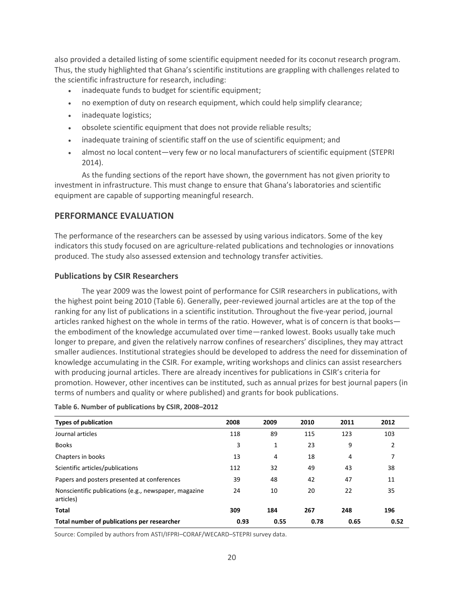also provided a detailed listing of some scientific equipment needed for its coconut research program. Thus, the study highlighted that Ghana's scientific institutions are grappling with challenges related to the scientific infrastructure for research, including:

- inadequate funds to budget for scientific equipment;
- no exemption of duty on research equipment, which could help simplify clearance;
- inadequate logistics;
- obsolete scientific equipment that does not provide reliable results;
- inadequate training of scientific staff on the use of scientific equipment; and
- almost no local content—very few or no local manufacturers of scientific equipment (STEPRI 2014).

As the funding sections of the report have shown, the government has not given priority to investment in infrastructure. This must change to ensure that Ghana's laboratories and scientific equipment are capable of supporting meaningful research.

## <span id="page-23-0"></span>**PERFORMANCE EVALUATION**

The performance of the researchers can be assessed by using various indicators. Some of the key indicators this study focused on are agriculture-related publications and technologies or innovations produced. The study also assessed extension and technology transfer activities.

## <span id="page-23-1"></span>**Publications by CSIR Researchers**

The year 2009 was the lowest point of performance for CSIR researchers in publications, with the highest point being 2010 (Table 6). Generally, peer-reviewed journal articles are at the top of the ranking for any list of publications in a scientific institution. Throughout the five-year period, journal articles ranked highest on the whole in terms of the ratio. However, what is of concern is that books the embodiment of the knowledge accumulated over time—ranked lowest. Books usually take much longer to prepare, and given the relatively narrow confines of researchers' disciplines, they may attract smaller audiences. Institutional strategies should be developed to address the need for dissemination of knowledge accumulating in the CSIR. For example, writing workshops and clinics can assist researchers with producing journal articles. There are already incentives for publications in CSIR's criteria for promotion. However, other incentives can be instituted, such as annual prizes for best journal papers (in terms of numbers and quality or where published) and grants for book publications.

| <b>Types of publication</b>                                        | 2008 | 2009 | 2010 | 2011 | 2012 |
|--------------------------------------------------------------------|------|------|------|------|------|
| Journal articles                                                   | 118  | 89   | 115  | 123  | 103  |
| <b>Books</b>                                                       | 3    | 1    | 23   | 9    | 2    |
| Chapters in books                                                  | 13   | 4    | 18   | 4    |      |
| Scientific articles/publications                                   | 112  | 32   | 49   | 43   | 38   |
| Papers and posters presented at conferences                        | 39   | 48   | 42   | 47   | 11   |
| Nonscientific publications (e.g., newspaper, magazine<br>articles) | 24   | 10   | 20   | 22   | 35   |
| <b>Total</b>                                                       | 309  | 184  | 267  | 248  | 196  |
| Total number of publications per researcher                        | 0.93 | 0.55 | 0.78 | 0.65 | 0.52 |

#### <span id="page-23-3"></span>**Table 6. Number of publications by CSIR, 2008–2012**

<span id="page-23-2"></span>Source: Compiled by authors from ASTI/IFPRI–CORAF/WECARD–STEPRI survey data.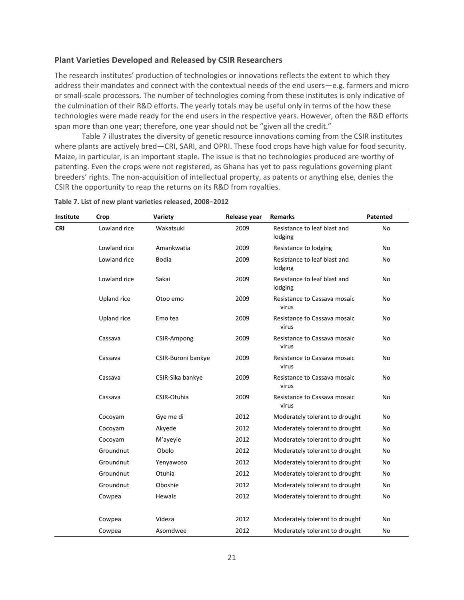### **Plant Varieties Developed and Released by CSIR Researchers**

The research institutes' production of technologies or innovations reflects the extent to which they address their mandates and connect with the contextual needs of the end users—e.g. farmers and micro or small-scale processors. The number of technologies coming from these institutes is only indicative of the culmination of their R&D efforts. The yearly totals may be useful only in terms of the how these technologies were made ready for the end users in the respective years. However, often the R&D efforts span more than one year; therefore, one year should not be "given all the credit."

Table 7 illustrates the diversity of genetic resource innovations coming from the CSIR institutes where plants are actively bred—CRI, SARI, and OPRI. These food crops have high value for food security. Maize, in particular, is an important staple. The issue is that no technologies produced are worthy of patenting. Even the crops were not registered, as Ghana has yet to pass regulations governing plant breeders' rights. The non-acquisition of intellectual property, as patents or anything else, denies the CSIR the opportunity to reap the returns on its R&D from royalties.

| Institute                                                                                                                                                                                                                                                                                                                                         | Crop               | Variety                               | Release year                   | <b>Remarks</b>                          | Patented  |  |
|---------------------------------------------------------------------------------------------------------------------------------------------------------------------------------------------------------------------------------------------------------------------------------------------------------------------------------------------------|--------------------|---------------------------------------|--------------------------------|-----------------------------------------|-----------|--|
| <b>CRI</b>                                                                                                                                                                                                                                                                                                                                        | Lowland rice       | Wakatsuki                             | 2009                           | Resistance to leaf blast and<br>lodging | No        |  |
|                                                                                                                                                                                                                                                                                                                                                   | Lowland rice       | Amankwatia                            | 2009                           | Resistance to lodging                   | No        |  |
|                                                                                                                                                                                                                                                                                                                                                   | Lowland rice       | <b>Bodia</b>                          | 2009                           | Resistance to leaf blast and<br>lodging | No        |  |
|                                                                                                                                                                                                                                                                                                                                                   | Lowland rice       | Sakai                                 | 2009                           | Resistance to leaf blast and<br>lodging | <b>No</b> |  |
|                                                                                                                                                                                                                                                                                                                                                   | Upland rice        | Otoo emo                              | 2009                           | Resistance to Cassava mosaic<br>virus   | No        |  |
|                                                                                                                                                                                                                                                                                                                                                   | <b>Upland rice</b> | Emo tea                               | 2009                           | Resistance to Cassava mosaic<br>virus   | No        |  |
| Cassava<br>CSIR-Ampong<br>Cassava<br>CSIR-Buroni bankye<br>Cassava<br>CSIR-Sika bankye<br>CSIR-Otuhia<br>Cassava<br>Cocoyam<br>Gye me di<br>Cocoyam<br>Akyede<br>M'ayeyie<br>Cocoyam<br>Groundnut<br>Obolo<br>Groundnut<br>Yenyawoso<br>Groundnut<br>Otuhia<br>Groundnut<br>Oboshie<br>Hewala<br>Cowpea<br>Videza<br>Cowpea<br>Asomdwee<br>Cowpea | 2009               | Resistance to Cassava mosaic<br>virus | No                             |                                         |           |  |
|                                                                                                                                                                                                                                                                                                                                                   |                    |                                       | 2009                           | Resistance to Cassava mosaic<br>virus   | No        |  |
|                                                                                                                                                                                                                                                                                                                                                   |                    |                                       | 2009                           | Resistance to Cassava mosaic<br>virus   | No        |  |
|                                                                                                                                                                                                                                                                                                                                                   |                    |                                       | 2009                           | Resistance to Cassava mosaic<br>virus   | No        |  |
|                                                                                                                                                                                                                                                                                                                                                   |                    | 2012                                  | Moderately tolerant to drought | No                                      |           |  |
|                                                                                                                                                                                                                                                                                                                                                   |                    |                                       | 2012                           | Moderately tolerant to drought          | No        |  |
|                                                                                                                                                                                                                                                                                                                                                   |                    |                                       | 2012                           | Moderately tolerant to drought          | No        |  |
|                                                                                                                                                                                                                                                                                                                                                   |                    |                                       | 2012                           | Moderately tolerant to drought          | <b>No</b> |  |
|                                                                                                                                                                                                                                                                                                                                                   |                    |                                       | 2012                           | Moderately tolerant to drought          | No        |  |
|                                                                                                                                                                                                                                                                                                                                                   |                    |                                       | 2012                           | Moderately tolerant to drought          | No        |  |
|                                                                                                                                                                                                                                                                                                                                                   |                    |                                       | 2012                           | Moderately tolerant to drought          | No        |  |
|                                                                                                                                                                                                                                                                                                                                                   |                    |                                       | 2012                           | Moderately tolerant to drought          | No        |  |
|                                                                                                                                                                                                                                                                                                                                                   |                    |                                       | 2012                           | Moderately tolerant to drought          | No        |  |
|                                                                                                                                                                                                                                                                                                                                                   |                    |                                       | 2012                           | Moderately tolerant to drought          | No        |  |

<span id="page-24-0"></span>**Table 7. List of new plant varieties released, 2008–2012**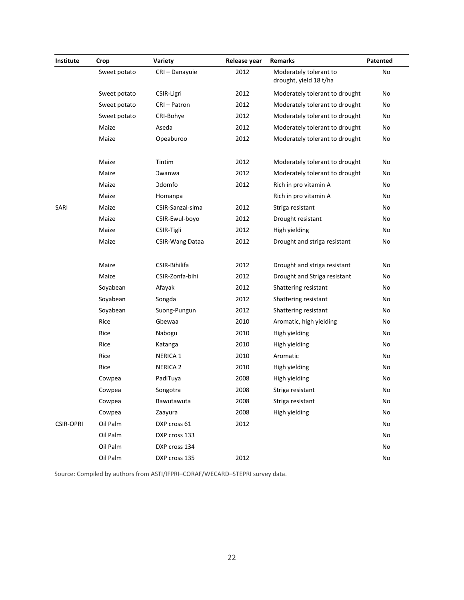| Institute        | Crop         | Variety                | Release year | <b>Remarks</b>                                   | Patented |  |
|------------------|--------------|------------------------|--------------|--------------------------------------------------|----------|--|
|                  | Sweet potato | CRI-Danayuie           | 2012         | Moderately tolerant to<br>drought, yield 18 t/ha | No       |  |
|                  | Sweet potato | CSIR-Ligri             | 2012         | Moderately tolerant to drought                   | No       |  |
|                  | Sweet potato | CRI-Patron             | 2012         | Moderately tolerant to drought                   | No       |  |
|                  | Sweet potato | CRI-Bohye              | 2012         | Moderately tolerant to drought                   | No       |  |
|                  | Maize        | Aseda                  | 2012         | Moderately tolerant to drought                   | No       |  |
|                  | Maize        | Opeaburoo              | 2012         | Moderately tolerant to drought                   | No       |  |
|                  | Maize        | Tintim                 | 2012         | Moderately tolerant to drought                   | No       |  |
|                  | Maize        | <b>Owanwa</b>          | 2012         | Moderately tolerant to drought                   | No       |  |
|                  | Maize        | <b>Odomfo</b>          | 2012         | Rich in pro vitamin A                            | No       |  |
|                  | Maize        | Homanpa                |              | Rich in pro vitamin A                            | No       |  |
| SARI             | Maize        | CSIR-Sanzal-sima       | 2012         | Striga resistant                                 | No       |  |
|                  | Maize        | CSIR-Ewul-boyo         | 2012         | Drought resistant                                | No       |  |
|                  | Maize        | CSIR-Tigli             | 2012         | High yielding                                    | No       |  |
|                  | Maize        | <b>CSIR-Wang Dataa</b> | 2012         | Drought and striga resistant                     | No       |  |
|                  | Maize        | CSIR-Bihilifa          | 2012         | Drought and striga resistant                     | No       |  |
|                  | Maize        | CSIR-Zonfa-bihi        | 2012         | Drought and Striga resistant                     | No       |  |
|                  | Soyabean     | Afayak                 | 2012         | Shattering resistant                             | No       |  |
|                  | Soyabean     | Songda                 | 2012         | Shattering resistant                             | No       |  |
|                  | Soyabean     | Suong-Pungun           | 2012         | Shattering resistant                             | No       |  |
|                  | Rice         | Gbewaa                 | 2010         | Aromatic, high yielding                          | No       |  |
|                  | Rice         | Nabogu                 | 2010         | High yielding                                    | No       |  |
|                  | Rice         | Katanga                | 2010         | High yielding                                    | No       |  |
|                  | Rice         | <b>NERICA 1</b>        | 2010         | Aromatic                                         | No       |  |
|                  | Rice         | <b>NERICA 2</b>        | 2010         | High yielding                                    | No       |  |
|                  | Cowpea       | PadiTuya               | 2008         | High yielding                                    | No       |  |
|                  | Cowpea       | Songotra               | 2008         | Striga resistant                                 | No       |  |
|                  | Cowpea       | Bawutawuta             | 2008         | Striga resistant                                 | No       |  |
|                  | Cowpea       | Zaayura                | 2008         | High yielding                                    | No       |  |
| <b>CSIR-OPRI</b> | Oil Palm     | DXP cross 61           | 2012         |                                                  | No       |  |
|                  | Oil Palm     | DXP cross 133          |              |                                                  | No       |  |
|                  | Oil Palm     | DXP cross 134          |              |                                                  | No       |  |
|                  | Oil Palm     | DXP cross 135          | 2012         |                                                  | No       |  |

<span id="page-25-0"></span>Source: Compiled by authors from ASTI/IFPRI–CORAF/WECARD–STEPRI survey data.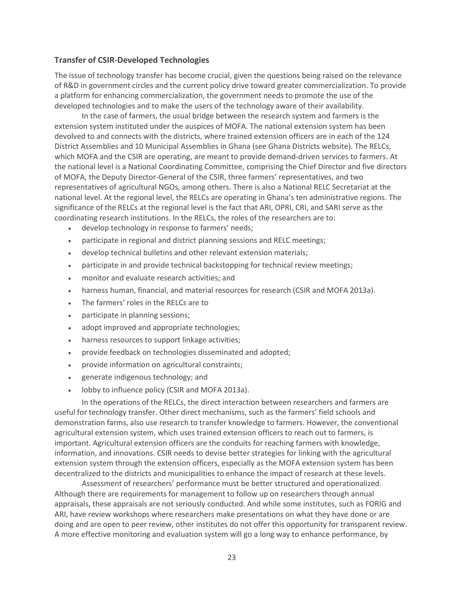### **Transfer of CSIR-Developed Technologies**

The issue of technology transfer has become crucial, given the questions being raised on the relevance of R&D in government circles and the current policy drive toward greater commercialization. To provide a platform for enhancing commercialization, the government needs to promote the use of the developed technologies and to make the users of the technology aware of their availability.

In the case of farmers, the usual bridge between the research system and farmers is the extension system instituted under the auspices of MOFA. The national extension system has been devolved to and connects with the districts, where trained extension officers are in each of the 124 District Assemblies and 10 Municipal Assemblies in Ghana (see Ghana Districts website). The RELCs, which MOFA and the CSIR are operating, are meant to provide demand-driven services to farmers. At the national level is a National Coordinating Committee, comprising the Chief Director and five directors of MOFA, the Deputy Director-General of the CSIR, three farmers' representatives, and two representatives of agricultural NGOs, among others. There is also a National RELC Secretariat at the national level. At the regional level, the RELCs are operating in Ghana's ten administrative regions. The significance of the RELCs at the regional level is the fact that ARI, OPRI, CRI, and SARI serve as the coordinating research institutions. In the RELCs, the roles of the researchers are to:

- develop technology in response to farmers' needs;
- participate in regional and district planning sessions and RELC meetings;
- develop technical bulletins and other relevant extension materials;
- participate in and provide technical backstopping for technical review meetings;
- monitor and evaluate research activities; and
- harness human, financial, and material resources for research (CSIR and MOFA 2013a).
- . The farmers' roles in the RELCs are to
- participate in planning sessions;
- adopt improved and appropriate technologies;
- harness resources to support linkage activities;
- provide feedback on technologies disseminated and adopted;
- provide information on agricultural constraints;
- generate indigenous technology; and
- lobby to influence policy (CSIR and MOFA 2013a).

In the operations of the RELCs, the direct interaction between researchers and farmers are useful for technology transfer. Other direct mechanisms, such as the farmers' field schools and demonstration farms, also use research to transfer knowledge to farmers. However, the conventional agricultural extension system, which uses trained extension officers to reach out to farmers, is important. Agricultural extension officers are the conduits for reaching farmers with knowledge, information, and innovations. CSIR needs to devise better strategies for linking with the agricultural extension system through the extension officers, especially as the MOFA extension system has been decentralized to the districts and municipalities to enhance the impact of research at these levels.

Assessment of researchers' performance must be better structured and operationalized. Although there are requirements for management to follow up on researchers through annual appraisals, these appraisals are not seriously conducted. And while some institutes, such as FORIG and ARI, have review workshops where researchers make presentations on what they have done or are doing and are open to peer review, other institutes do not offer this opportunity for transparent review. A more effective monitoring and evaluation system will go a long way to enhance performance, by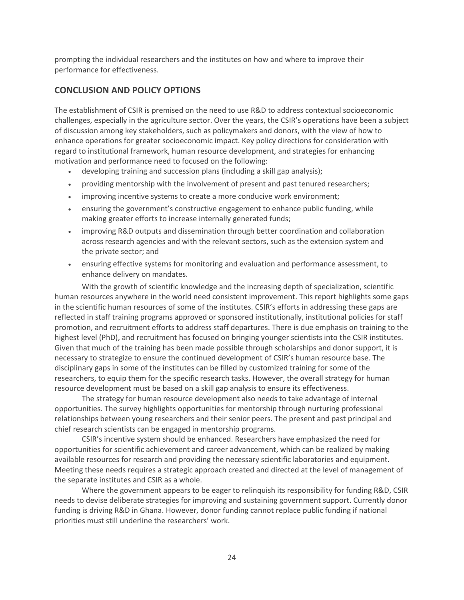prompting the individual researchers and the institutes on how and where to improve their performance for effectiveness.

## <span id="page-27-0"></span>**CONCLUSION AND POLICY OPTIONS**

The establishment of CSIR is premised on the need to use R&D to address contextual socioeconomic challenges, especially in the agriculture sector. Over the years, the CSIR's operations have been a subject of discussion among key stakeholders, such as policymakers and donors, with the view of how to enhance operations for greater socioeconomic impact. Key policy directions for consideration with regard to institutional framework, human resource development, and strategies for enhancing motivation and performance need to focused on the following:

- developing training and succession plans (including a skill gap analysis);
- providing mentorship with the involvement of present and past tenured researchers;
- improving incentive systems to create a more conducive work environment;
- ensuring the government's constructive engagement to enhance public funding, while making greater efforts to increase internally generated funds;
- improving R&D outputs and dissemination through better coordination and collaboration across research agencies and with the relevant sectors, such as the extension system and the private sector; and
- ensuring effective systems for monitoring and evaluation and performance assessment, to enhance delivery on mandates.

With the growth of scientific knowledge and the increasing depth of specialization, scientific human resources anywhere in the world need consistent improvement. This report highlights some gaps in the scientific human resources of some of the institutes. CSIR's efforts in addressing these gaps are reflected in staff training programs approved or sponsored institutionally, institutional policies for staff promotion, and recruitment efforts to address staff departures. There is due emphasis on training to the highest level (PhD), and recruitment has focused on bringing younger scientists into the CSIR institutes. Given that much of the training has been made possible through scholarships and donor support, it is necessary to strategize to ensure the continued development of CSIR's human resource base. The disciplinary gaps in some of the institutes can be filled by customized training for some of the researchers, to equip them for the specific research tasks. However, the overall strategy for human resource development must be based on a skill gap analysis to ensure its effectiveness.

The strategy for human resource development also needs to take advantage of internal opportunities. The survey highlights opportunities for mentorship through nurturing professional relationships between young researchers and their senior peers. The present and past principal and chief research scientists can be engaged in mentorship programs.

CSIR's incentive system should be enhanced. Researchers have emphasized the need for opportunities for scientific achievement and career advancement, which can be realized by making available resources for research and providing the necessary scientific laboratories and equipment. Meeting these needs requires a strategic approach created and directed at the level of management of the separate institutes and CSIR as a whole.

Where the government appears to be eager to relinquish its responsibility for funding R&D, CSIR needs to devise deliberate strategies for improving and sustaining government support. Currently donor funding is driving R&D in Ghana. However, donor funding cannot replace public funding if national priorities must still underline the researchers' work.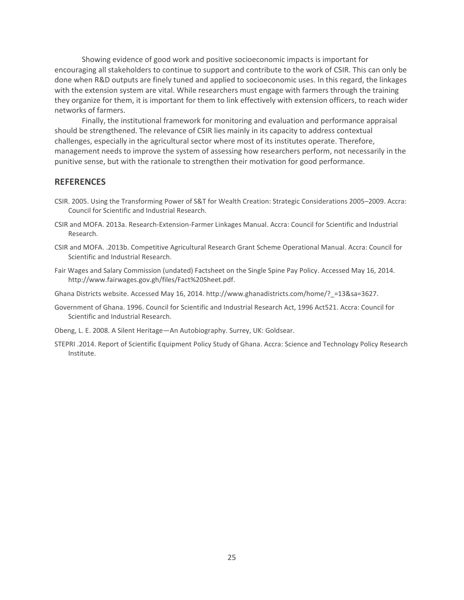Showing evidence of good work and positive socioeconomic impacts is important for encouraging all stakeholders to continue to support and contribute to the work of CSIR. This can only be done when R&D outputs are finely tuned and applied to socioeconomic uses. In this regard, the linkages with the extension system are vital. While researchers must engage with farmers through the training they organize for them, it is important for them to link effectively with extension officers, to reach wider networks of farmers.

Finally, the institutional framework for monitoring and evaluation and performance appraisal should be strengthened. The relevance of CSIR lies mainly in its capacity to address contextual challenges, especially in the agricultural sector where most of its institutes operate. Therefore, management needs to improve the system of assessing how researchers perform, not necessarily in the punitive sense, but with the rationale to strengthen their motivation for good performance.

#### <span id="page-28-0"></span>**REFERENCES**

- CSIR. 2005. Using the Transforming Power of S&T for Wealth Creation: Strategic Considerations 2005–2009. Accra: Council for Scientific and Industrial Research.
- CSIR and MOFA. 2013a. Research-Extension-Farmer Linkages Manual. Accra: Council for Scientific and Industrial Research.
- CSIR and MOFA. .2013b. Competitive Agricultural Research Grant Scheme Operational Manual. Accra: Council for Scientific and Industrial Research.
- Fair Wages and Salary Commission (undated) Factsheet on the Single Spine Pay Policy. Accessed May 16, 2014. [http://www.fairwages.gov.gh/files/Fact%20Sheet.pdf.](http://www.fairwages.gov.gh/files/Fact%20Sheet.pdf)

Ghana Districts website. Accessed May 16, 2014. http://www.ghanadistricts.com/home/?\_=13&sa=3627.

- Government of Ghana. 1996. Council for Scientific and Industrial Research Act, 1996 Act521. Accra: Council for Scientific and Industrial Research.
- Obeng, L. E. 2008. A Silent Heritage—An Autobiography. Surrey, UK: Goldsear.
- STEPRI .2014. Report of Scientific Equipment Policy Study of Ghana. Accra: Science and Technology Policy Research Institute.